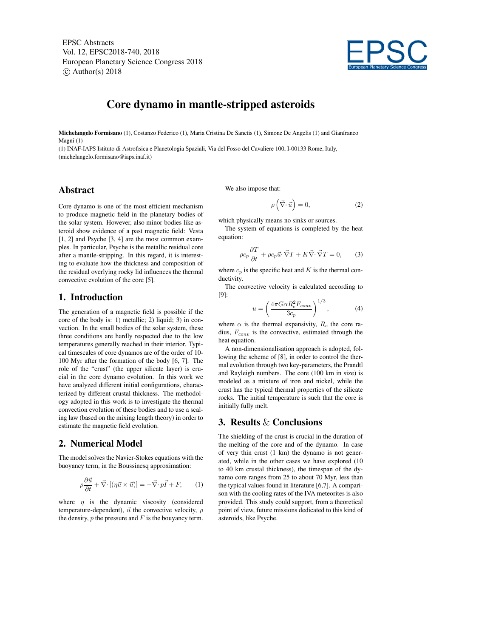EPSC Abstracts Vol. 12, EPSC2018-740, 2018 European Planetary Science Congress 2018  $\circ$  Author(s) 2018



# Core dynamo in mantle-stripped asteroids

Michelangelo Formisano (1), Costanzo Federico (1), Maria Cristina De Sanctis (1), Simone De Angelis (1) and Gianfranco Magni (1)

(1) INAF-IAPS Istituto di Astrofisica e Planetologia Spaziali, Via del Fosso del Cavaliere 100, I-00133 Rome, Italy, (michelangelo.formisano@iaps.inaf.it)

#### Abstract

Core dynamo is one of the most efficient mechanism to produce magnetic field in the planetary bodies of the solar system. However, also minor bodies like asteroid show evidence of a past magnetic field: Vesta [1, 2] and Psyche [3, 4] are the most common examples. In particular, Psyche is the metallic residual core after a mantle-stripping. In this regard, it is interesting to evaluate how the thickness and composition of the residual overlying rocky lid influences the thermal convective evolution of the core [5].

#### 1. Introduction

The generation of a magnetic field is possible if the core of the body is: 1) metallic; 2) liquid; 3) in convection. In the small bodies of the solar system, these three conditions are hardly respected due to the low temperatures generally reached in their interior. Typical timescales of core dynamos are of the order of 10- 100 Myr after the formation of the body [6, 7]. The role of the "crust" (the upper silicate layer) is crucial in the core dynamo evolution. In this work we have analyzed different initial configurations, characterized by different crustal thickness. The methodology adopted in this work is to investigate the thermal convection evolution of these bodies and to use a scaling law (based on the mixing length theory) in order to estimate the magnetic field evolution.

### 2. Numerical Model

The model solves the Navier-Stokes equations with the buoyancy term, in the Boussinesq approximation:

$$
\rho \frac{\partial \vec{u}}{\partial t} + \vec{\nabla} \cdot [(\eta \vec{u} \times \vec{u})] = -\vec{\nabla} \cdot p\vec{I} + F, \qquad (1)
$$

where  $\eta$  is the dynamic viscosity (considered temperature-dependent),  $\vec{u}$  the convective velocity,  $\rho$ the density,  $p$  the pressure and  $F$  is the bouyancy term. We also impose that:

$$
\rho\left(\vec{\nabla}\cdot\vec{u}\right) = 0,\tag{2}
$$

which physically means no sinks or sources.

The system of equations is completed by the heat equation:

$$
\rho c_p \frac{\partial T}{\partial t} + \rho c_p \vec{u} \cdot \vec{\nabla} T + K \vec{\nabla} \cdot \vec{\nabla} T = 0, \qquad (3)
$$

where  $c_p$  is the specific heat and K is the thermal conductivity.

The convective velocity is calculated according to [9]:

$$
u = \left(\frac{4\pi G\alpha R_c^2 F_{conv}}{3c_p}\right)^{1/3},\tag{4}
$$

where  $\alpha$  is the thermal expansivity,  $R_c$  the core radius,  $F_{conv}$  is the convective, estimated through the heat equation.

A non-dimensionalisation approach is adopted, following the scheme of [8], in order to control the thermal evolution through two key-parameters, the Prandtl and Rayleigh numbers. The core (100 km in size) is modeled as a mixture of iron and nickel, while the crust has the typical thermal properties of the silicate rocks. The initial temperature is such that the core is initially fully melt.

#### 3. Results & Conclusions

The shielding of the crust is crucial in the duration of the melting of the core and of the dynamo. In case of very thin crust (1 km) the dynamo is not generated, while in the other cases we have explored (10 to 40 km crustal thickness), the timespan of the dynamo core ranges from 25 to about 70 Myr, less than the typical values found in literature [6,7]. A comparison with the cooling rates of the IVA meteorites is also provided. This study could support, from a theoretical point of view, future missions dedicated to this kind of asteroids, like Psyche.